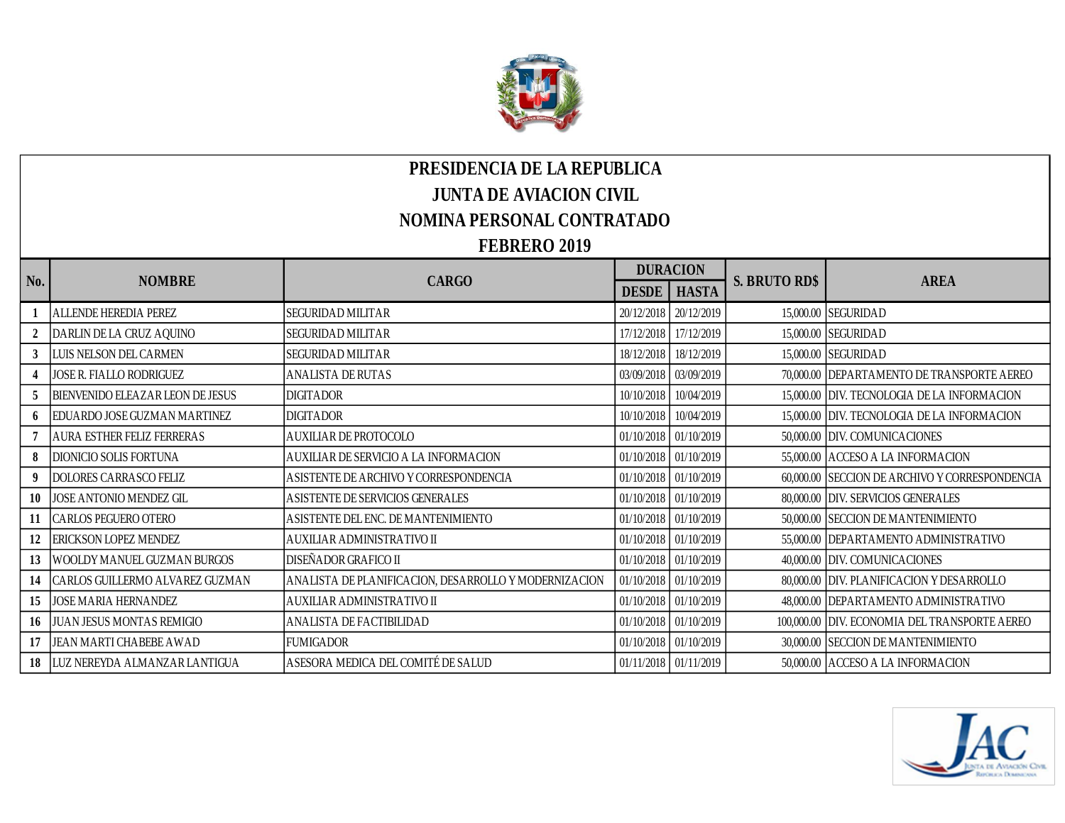

## **PRESIDENCIA DE LA REPUBLICA JUNTA DE AVIACION CIVIL NOMINA PERSONAL CONTRATADO**

## **FEBRERO 2019**

|     | <b>NOMBRE</b>                      | <b>CARGO</b>                                          | <b>DURACION</b> |                       |                      |                                                |
|-----|------------------------------------|-------------------------------------------------------|-----------------|-----------------------|----------------------|------------------------------------------------|
| No. |                                    |                                                       | <b>DESDE</b>    | <b>HASTA</b>          | <b>S. BRUTO RD\$</b> | <b>AREA</b>                                    |
|     | ALLENDE HEREDIA PEREZ              | <b>SEGURIDAD MILITAR</b>                              |                 | 20/12/2018 20/12/2019 |                      | 15,000.00 SEGURIDAD                            |
|     | DARLIN DE LA CRUZ AQUINO           | <b>SEGURIDAD MILITAR</b>                              | 17/12/2018      | 17/12/2019            |                      | 15,000.00 SEGURIDAD                            |
|     | LUIS NELSON DEL CARMEN             | SEGURIDAD MILITAR                                     | 18/12/2018      | 18/12/2019            |                      | 15,000.00 SEGURIDAD                            |
|     | JOSE R. FIALLO RODRIGUEZ           | ANALISTA DE RUTAS                                     | 03/09/2018      | 03/09/2019            |                      | 70,000.00 DEPARTAMENTO DE TRANSPORTE AEREO     |
|     | BIENVENIDO ELEAZAR LEON DE JESUS   | <b>DIGITADOR</b>                                      | 10/10/2018      | 10/04/2019            |                      | 15,000.00 DIV. TECNOLOGIA DE LA INFORMACION    |
|     | EDUARDO JOSE GUZMAN MARTINEZ       | <b>DIGITADOR</b>                                      | 10/10/2018      | 10/04/2019            |                      | 15,000.00 DIV. TECNOLOGIA DE LA INFORMACION    |
|     | <b>AURA ESTHER FELIZ FERRERAS</b>  | AUXILIAR DE PROTOCOLO                                 | 01/10/2018      | 01/10/2019            |                      | 50,000.00 DIV. COMUNICACIONES                  |
| 8   | DIONICIO SOLIS FORTUNA             | AUXILIAR DE SERVICIO A LA INFORMACION                 | 01/10/2018      | 01/10/2019            |                      | 55,000.00 ACCESO A LA INFORMACION              |
|     | <b>DOLORES CARRASCO FELIZ</b>      | ASISTENTE DE ARCHIVO Y CORRESPONDENCIA                |                 | 01/10/2018 01/10/2019 |                      | 60,000.00 SECCION DE ARCHIVO Y CORRESPONDENCIA |
| 10  | JOSE ANTONIO MENDEZ GIL            | A SISTENTE DE SERVICIOS GENERALES                     | 01/10/2018      | 01/10/2019            |                      | 80,000.00 DIV. SERVICIOS GENERALES             |
|     | CARLOS PEGUERO OTERO               | ASISTENTE DEL ENC. DE MANTENIMIENTO                   |                 | 01/10/2018 01/10/2019 |                      | 50,000.00 SECCION DE MANTENIMIENTO             |
| 12  | ERICKSON LOPEZ MENDEZ              | AUXILIAR ADMINISTRATIVO II                            | 01/10/2018      | 01/10/2019            |                      | 55,000.00 DEPARTAMENTO ADMINISTRATIVO          |
| 13  | WOOLDY MANUEL GUZMAN BURGOS        | DISEÑADOR GRAFICO II                                  | 01/10/2018      | 01/10/2019            |                      | 40,000.00 DIV. COMUNICACIONES                  |
| 14  | CARLOS GUILLERMO ALVAREZ GUZMAN    | ANALISTA DE PLANIFICACION, DESARROLLO Y MODERNIZACION | 01/10/2018      | 01/10/2019            |                      | 80,000.00 DIV. PLANIFICACION Y DESARROLLO      |
| 15  | <b>JOSE MARIA HERNANDEZ</b>        | AUXILIAR ADMINISTRATIVO II                            | 01/10/2018      | 01/10/2019            |                      | 48,000.00 DEPARTAMENTO ADMINISTRATIVO          |
|     | 16 JUAN JESUS MONTAS REMIGIO       | ANALISTA DE FACTIBILIDAD                              |                 | 01/10/2018 01/10/2019 |                      | 100,000.00 DIV. ECONOMIA DEL TRANSPORTE AEREO  |
|     | JEAN MARTI CHABEBE AWAD            | <b>FUMIGADOR</b>                                      |                 | 01/10/2018 01/10/2019 |                      | 30,000.00 SECCION DE MANTENIMIENTO             |
|     | 18   LUZ NEREYDA ALMANZAR LANTIGUA | ASESORA MEDICA DEL COMITÉ DE SALUD                    |                 | 01/11/2018 01/11/2019 |                      | 50,000.00 ACCESO A LA INFORMACION              |